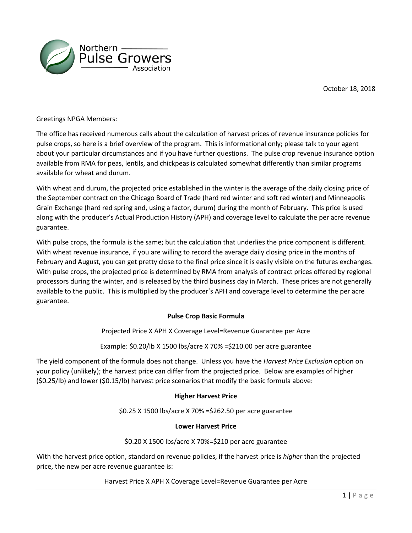



Greetings NPGA Members:

The office has received numerous calls about the calculation of harvest prices of revenue insurance policies for pulse crops, so here is a brief overview of the program. This is informational only; please talk to your agent about your particular circumstances and if you have further questions. The pulse crop revenue insurance option available from RMA for peas, lentils, and chickpeas is calculated somewhat differently than similar programs available for wheat and durum.

With wheat and durum, the projected price established in the winter is the average of the daily closing price of the September contract on the Chicago Board of Trade (hard red winter and soft red winter) and Minneapolis Grain Exchange (hard red spring and, using a factor, durum) during the month of February. This price is used along with the producer's Actual Production History (APH) and coverage level to calculate the per acre revenue guarantee.

With pulse crops, the formula is the same; but the calculation that underlies the price component is different. With wheat revenue insurance, if you are willing to record the average daily closing price in the months of February and August, you can get pretty close to the final price since it is easily visible on the futures exchanges. With pulse crops, the projected price is determined by RMA from analysis of contract prices offered by regional processors during the winter, and is released by the third business day in March. These prices are not generally available to the public. This is multiplied by the producer's APH and coverage level to determine the per acre guarantee.

## **Pulse Crop Basic Formula**

Projected Price X APH X Coverage Level=Revenue Guarantee per Acre

Example: \$0.20/lb X 1500 lbs/acre X 70% =\$210.00 per acre guarantee

The yield component of the formula does not change. Unless you have the *Harvest Price Exclusion* option on your policy (unlikely); the harvest price can differ from the projected price. Below are examples of higher (\$0.25/lb) and lower (\$0.15/lb) harvest price scenarios that modify the basic formula above:

## **Higher Harvest Price**

\$0.25 X 1500 lbs/acre X 70% =\$262.50 per acre guarantee

## **Lower Harvest Price**

\$0.20 X 1500 lbs/acre X 70%=\$210 per acre guarantee

With the harvest price option, standard on revenue policies, if the harvest price is *higher* than the projected price, the new per acre revenue guarantee is:

Harvest Price X APH X Coverage Level=Revenue Guarantee per Acre